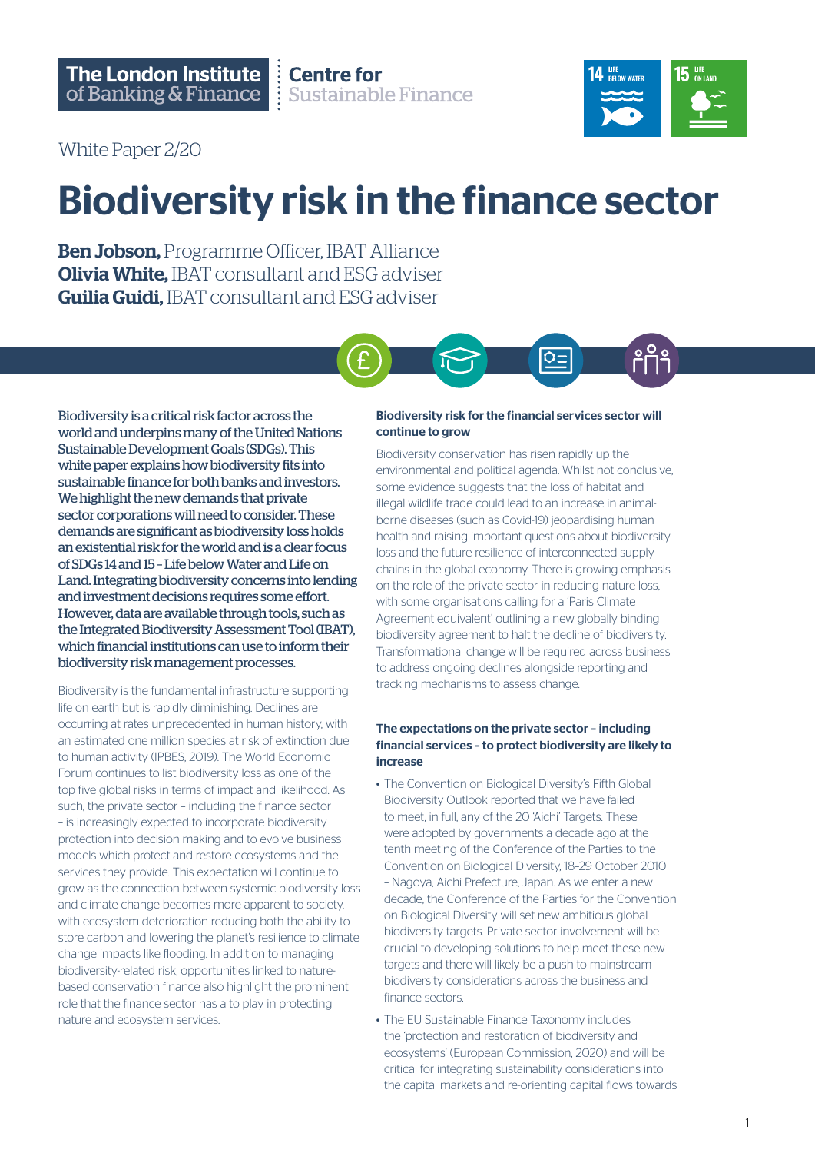**Centre for Sustainable Finance** 



White Paper 2/20

## Biodiversity risk in the finance sector

Ben Jobson, Programme Officer, IBAT Alliance **Olivia White, IBAT consultant and ESG adviser Guilia Guidi, IBAT consultant and ESG adviser** 



Biodiversity is a critical risk factor across the world and underpins many of the United Nations Sustainable Development Goals (SDGs). This white paper explains how biodiversity fits into sustainable finance for both banks and investors. We highlight the new demands that private sector corporations will need to consider. These demands are significant as biodiversity loss holds an existential risk for the world and is a clear focus of SDGs 14 and 15 – Life below Water and Life on Land. Integrating biodiversity concerns into lending and investment decisions requires some effort. However, data are available through tools, such as the Integrated Biodiversity Assessment Tool (IBAT), which financial institutions can use to inform their biodiversity risk management processes.

Biodiversity is the fundamental infrastructure supporting life on earth but is rapidly diminishing. Declines are occurring at rates unprecedented in human history, with an estimated one million species at risk of extinction due to human activity (IPBES, 2019). The World Economic Forum continues to list biodiversity loss as one of the top five global risks in terms of impact and likelihood. As such, the private sector – including the finance sector – is increasingly expected to incorporate biodiversity protection into decision making and to evolve business models which protect and restore ecosystems and the services they provide. This expectation will continue to grow as the connection between systemic biodiversity loss and climate change becomes more apparent to society, with ecosystem deterioration reducing both the ability to store carbon and lowering the planet's resilience to climate change impacts like flooding. In addition to managing biodiversity-related risk, opportunities linked to naturebased conservation finance also highlight the prominent role that the finance sector has a to play in protecting nature and ecosystem services.

#### Biodiversity risk for the financial services sector will continue to grow

Biodiversity conservation has risen rapidly up the environmental and political agenda. Whilst not conclusive, some evidence suggests that the loss of habitat and illegal wildlife trade could lead to an increase in animalborne diseases (such as Covid-19) jeopardising human health and raising important questions about biodiversity loss and the future resilience of interconnected supply chains in the global economy. There is growing emphasis on the role of the private sector in reducing nature loss, with some organisations calling for a 'Paris Climate Agreement equivalent' outlining a new globally binding biodiversity agreement to halt the decline of biodiversity. Transformational change will be required across business to address ongoing declines alongside reporting and tracking mechanisms to assess change.

#### The expectations on the private sector – including financial services – to protect biodiversity are likely to increase

- The Convention on Biological Diversity's Fifth Global Biodiversity Outlook reported that we have failed to meet, in full, any of the 20 'Aichi' Targets. These were adopted by governments a decade ago at the tenth meeting of the Conference of the Parties to the Convention on Biological Diversity, 18–29 October 2010 – Nagoya, Aichi Prefecture, Japan. As we enter a new decade, the Conference of the Parties for the Convention on Biological Diversity will set new ambitious global biodiversity targets. Private sector involvement will be crucial to developing solutions to help meet these new targets and there will likely be a push to mainstream biodiversity considerations across the business and finance sectors.
- The EU Sustainable Finance Taxonomy includes the 'protection and restoration of biodiversity and ecosystems' (European Commission, 2020) and will be critical for integrating sustainability considerations into the capital markets and re-orienting capital flows towards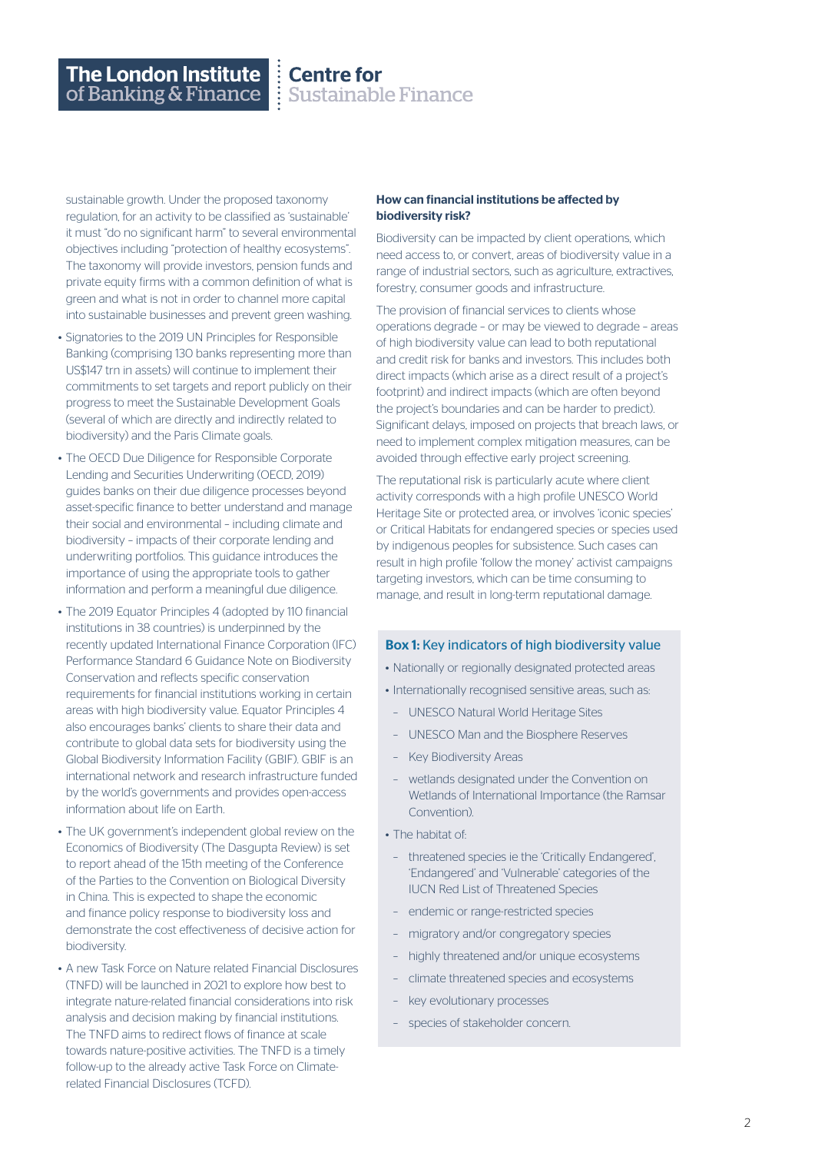### **Centre for<br>Example Finance**

sustainable growth. Under the proposed taxonomy regulation, for an activity to be classified as 'sustainable' it must "do no significant harm" to several environmental objectives including "protection of healthy ecosystems". The taxonomy will provide investors, pension funds and private equity firms with a common definition of what is green and what is not in order to channel more capital into sustainable businesses and prevent green washing.

- Signatories to the 2019 UN Principles for Responsible Banking (comprising 130 banks representing more than US\$147 trn in assets) will continue to implement their commitments to set targets and report publicly on their progress to meet the Sustainable Development Goals (several of which are directly and indirectly related to biodiversity) and the Paris Climate goals.
- The OECD Due Diligence for Responsible Corporate Lending and Securities Underwriting (OECD, 2019) guides banks on their due diligence processes beyond asset-specific finance to better understand and manage their social and environmental – including climate and biodiversity – impacts of their corporate lending and underwriting portfolios. This guidance introduces the importance of using the appropriate tools to gather information and perform a meaningful due diligence.
- The 2019 Equator Principles 4 (adopted by 110 financial institutions in 38 countries) is underpinned by the recently updated International Finance Corporation (IFC) Performance Standard 6 Guidance Note on Biodiversity Conservation and reflects specific conservation requirements for financial institutions working in certain areas with high biodiversity value. Equator Principles 4 also encourages banks' clients to share their data and contribute to global data sets for biodiversity using the Global Biodiversity Information Facility (GBIF). GBIF is an international network and research infrastructure funded by the world's governments and provides open-access information about life on Earth.
- The UK government's independent global review on the Economics of Biodiversity (The Dasgupta Review) is set to report ahead of the 15th meeting of the Conference of the Parties to the Convention on Biological Diversity in China. This is expected to shape the economic and finance policy response to biodiversity loss and demonstrate the cost effectiveness of decisive action for biodiversity.
- A new Task Force on Nature related Financial Disclosures (TNFD) will be launched in 2021 to explore how best to integrate nature-related financial considerations into risk analysis and decision making by financial institutions. The TNFD aims to redirect flows of finance at scale towards nature-positive activities. The TNFD is a timely follow-up to the already active Task Force on Climaterelated Financial Disclosures (TCFD).

#### How can financial institutions be affected by biodiversity risk?

Biodiversity can be impacted by client operations, which need access to, or convert, areas of biodiversity value in a range of industrial sectors, such as agriculture, extractives, forestry, consumer goods and infrastructure.

The provision of financial services to clients whose operations degrade – or may be viewed to degrade – areas of high biodiversity value can lead to both reputational and credit risk for banks and investors. This includes both direct impacts (which arise as a direct result of a project's footprint) and indirect impacts (which are often beyond the project's boundaries and can be harder to predict). Significant delays, imposed on projects that breach laws, or need to implement complex mitigation measures, can be avoided through effective early project screening.

The reputational risk is particularly acute where client activity corresponds with a high profile UNESCO World Heritage Site or protected area, or involves 'iconic species' or Critical Habitats for endangered species or species used by indigenous peoples for subsistence. Such cases can result in high profile 'follow the money' activist campaigns targeting investors, which can be time consuming to manage, and result in long-term reputational damage.

#### Box 1: Key indicators of high biodiversity value

- Nationally or regionally designated protected areas
- Internationally recognised sensitive areas, such as:
- UNESCO Natural World Heritage Sites
- UNESCO Man and the Biosphere Reserves
- Key Biodiversity Areas
- wetlands designated under the Convention on Wetlands of International Importance (the Ramsar Convention).
- The habitat of:
	- threatened species ie the 'Critically Endangered', 'Endangered' and 'Vulnerable' categories of the IUCN Red List of Threatened Species
- endemic or range-restricted species
- migratory and/or congregatory species
- highly threatened and/or unique ecosystems
- climate threatened species and ecosystems
- key evolutionary processes
- species of stakeholder concern.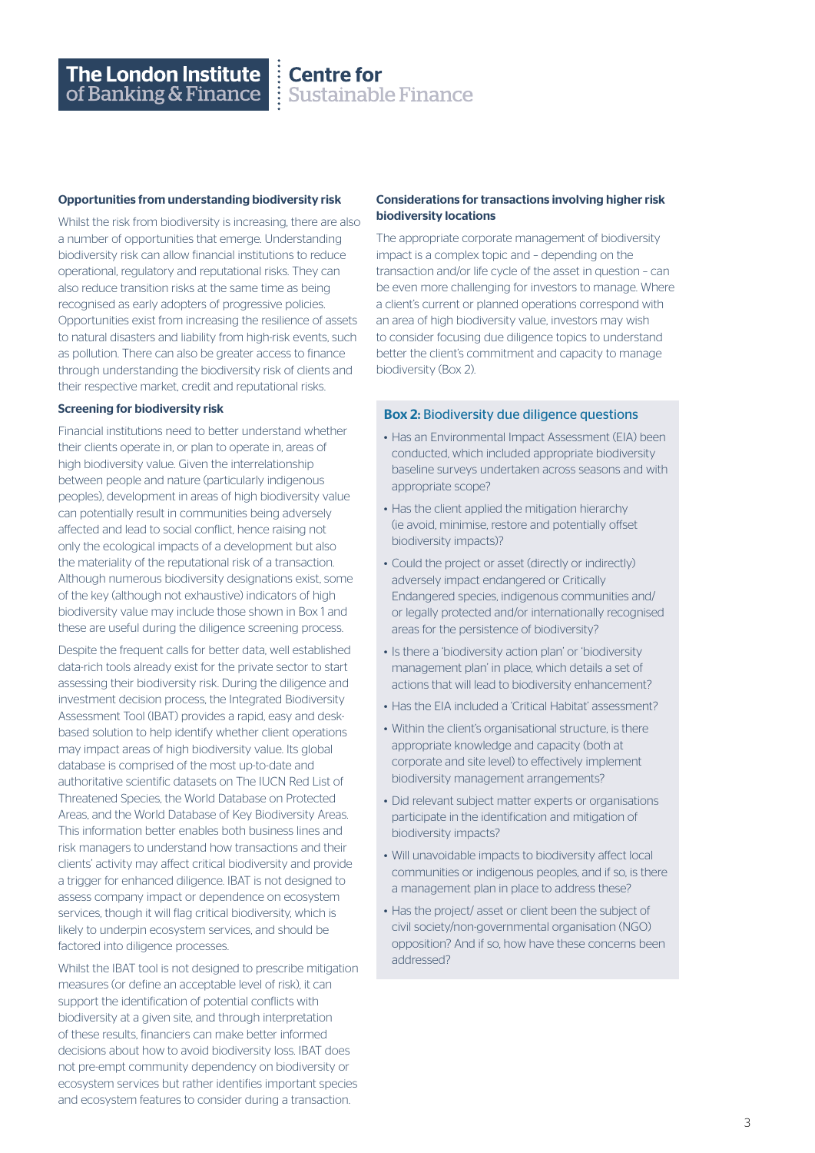# **Centre for<br>Experience Sustainable Finance**

#### Opportunities from understanding biodiversity risk

Whilst the risk from biodiversity is increasing, there are also a number of opportunities that emerge. Understanding biodiversity risk can allow financial institutions to reduce operational, regulatory and reputational risks. They can also reduce transition risks at the same time as being recognised as early adopters of progressive policies. Opportunities exist from increasing the resilience of assets to natural disasters and liability from high-risk events, such as pollution. There can also be greater access to finance through understanding the biodiversity risk of clients and their respective market, credit and reputational risks.

#### Screening for biodiversity risk

Financial institutions need to better understand whether their clients operate in, or plan to operate in, areas of high biodiversity value. Given the interrelationship between people and nature (particularly indigenous peoples), development in areas of high biodiversity value can potentially result in communities being adversely affected and lead to social conflict, hence raising not only the ecological impacts of a development but also the materiality of the reputational risk of a transaction. Although numerous biodiversity designations exist, some of the key (although not exhaustive) indicators of high biodiversity value may include those shown in Box 1 and these are useful during the diligence screening process.

Despite the frequent calls for better data, well established data-rich tools already exist for the private sector to start assessing their biodiversity risk. During the diligence and investment decision process, the Integrated Biodiversity Assessment Tool (IBAT) provides a rapid, easy and deskbased solution to help identify whether client operations may impact areas of high biodiversity value. Its global database is comprised of the most up-to-date and authoritative scientific datasets on The IUCN Red List of Threatened Species, the World Database on Protected Areas, and the World Database of Key Biodiversity Areas. This information better enables both business lines and risk managers to understand how transactions and their clients' activity may affect critical biodiversity and provide a trigger for enhanced diligence. IBAT is not designed to assess company impact or dependence on ecosystem services, though it will flag critical biodiversity, which is likely to underpin ecosystem services, and should be factored into diligence processes.

Whilst the IBAT tool is not designed to prescribe mitigation measures (or define an acceptable level of risk), it can support the identification of potential conflicts with biodiversity at a given site, and through interpretation of these results, financiers can make better informed decisions about how to avoid biodiversity loss. IBAT does not pre-empt community dependency on biodiversity or ecosystem services but rather identifies important species and ecosystem features to consider during a transaction.

#### Considerations for transactions involving higher risk biodiversity locations

The appropriate corporate management of biodiversity impact is a complex topic and – depending on the transaction and/or life cycle of the asset in question – can be even more challenging for investors to manage. Where a client's current or planned operations correspond with an area of high biodiversity value, investors may wish to consider focusing due diligence topics to understand better the client's commitment and capacity to manage biodiversity (Box 2).

#### Box 2: Biodiversity due diligence questions

- Has an Environmental Impact Assessment (EIA) been conducted, which included appropriate biodiversity baseline surveys undertaken across seasons and with appropriate scope?
- Has the client applied the mitigation hierarchy (ie avoid, minimise, restore and potentially offset biodiversity impacts)?
- Could the project or asset (directly or indirectly) adversely impact endangered or Critically Endangered species, indigenous communities and/ or legally protected and/or internationally recognised areas for the persistence of biodiversity?
- Is there a 'biodiversity action plan' or 'biodiversity management plan' in place, which details a set of actions that will lead to biodiversity enhancement?
- Has the EIA included a 'Critical Habitat' assessment?
- Within the client's organisational structure, is there appropriate knowledge and capacity (both at corporate and site level) to effectively implement biodiversity management arrangements?
- Did relevant subject matter experts or organisations participate in the identification and mitigation of biodiversity impacts?
- Will unavoidable impacts to biodiversity affect local communities or indigenous peoples, and if so, is there a management plan in place to address these?
- Has the project/ asset or client been the subject of civil society/non-governmental organisation (NGO) opposition? And if so, how have these concerns been addressed?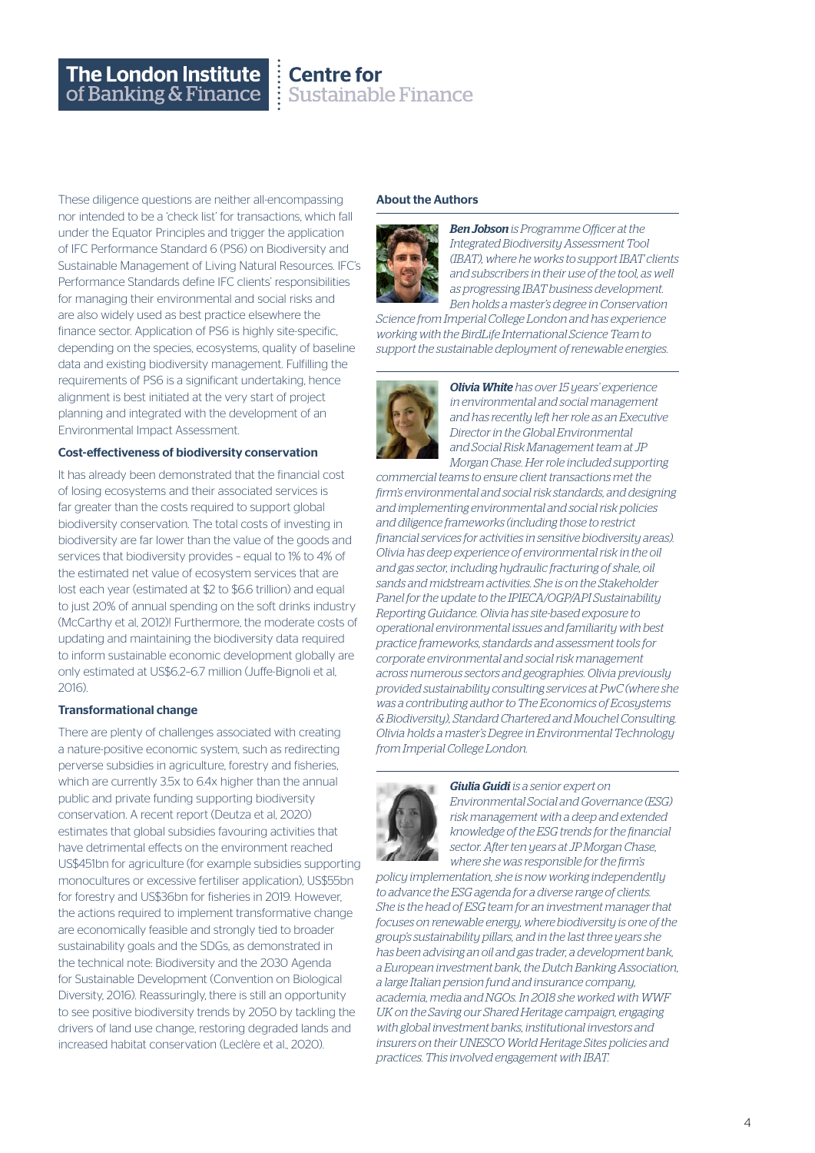### **Centre for Sustainable Finance**

These diligence questions are neither all-encompassing nor intended to be a 'check list' for transactions, which fall under the Equator Principles and trigger the application of IFC Performance Standard 6 (PS6) on Biodiversity and Sustainable Management of Living Natural Resources. IFC's Performance Standards define IFC clients' responsibilities for managing their environmental and social risks and are also widely used as best practice elsewhere the finance sector. Application of PS6 is highly site-specific, depending on the species, ecosystems, quality of baseline data and existing biodiversity management. Fulfilling the requirements of PS6 is a significant undertaking, hence alignment is best initiated at the very start of project planning and integrated with the development of an Environmental Impact Assessment.

#### Cost-effectiveness of biodiversity conservation

It has already been demonstrated that the financial cost of losing ecosystems and their associated services is far greater than the costs required to support global biodiversity conservation. The total costs of investing in biodiversity are far lower than the value of the goods and services that biodiversity provides – equal to 1% to 4% of the estimated net value of ecosystem services that are lost each year (estimated at \$2 to \$6.6 trillion) and equal to just 20% of annual spending on the soft drinks industry (McCarthy et al, 2012)! Furthermore, the moderate costs of updating and maintaining the biodiversity data required to inform sustainable economic development globally are only estimated at US\$6.2–6.7 million (Juffe-Bignoli et al, 2016).

#### Transformational change

There are plenty of challenges associated with creating a nature-positive economic system, such as redirecting perverse subsidies in agriculture, forestry and fisheries, which are currently 3.5x to 6.4x higher than the annual public and private funding supporting biodiversity conservation. A recent report (Deutza et al, 2020) estimates that global subsidies favouring activities that have detrimental effects on the environment reached US\$451bn for agriculture (for example subsidies supporting monocultures or excessive fertiliser application), US\$55bn for forestry and US\$36bn for fisheries in 2019. However, the actions required to implement transformative change are economically feasible and strongly tied to broader sustainability goals and the SDGs, as demonstrated in the technical note: Biodiversity and the 2030 Agenda for Sustainable Development (Convention on Biological Diversity, 2016). Reassuringly, there is still an opportunity to see positive biodiversity trends by 2050 by tackling the drivers of land use change, restoring degraded lands and increased habitat conservation (Leclère et al., 2020).

#### About the Authors



*Ben Jobson is Programme Officer at the Integrated Biodiversity Assessment Tool (IBAT), where he works to support IBAT clients and subscribers in their use of the tool, as well as progressing IBAT business development. Ben holds a master's degree in Conservation* 

*Science from Imperial College London and has experience working with the BirdLife International Science Team to support the sustainable deployment of renewable energies.* 



*Olivia White has over 15 years' experience in environmental and social management and has recently left her role as an Executive Director in the Global Environmental and Social Risk Management team at JP Morgan Chase. Her role included supporting* 

*commercial teams to ensure client transactions met the firm's environmental and social risk standards, and designing and implementing environmental and social risk policies and diligence frameworks (including those to restrict financial services for activities in sensitive biodiversity areas). Olivia has deep experience of environmental risk in the oil and gas sector, including hydraulic fracturing of shale, oil sands and midstream activities. She is on the Stakeholder Panel for the update to the IPIECA/OGP/API Sustainability Reporting Guidance. Olivia has site-based exposure to operational environmental issues and familiarity with best practice frameworks, standards and assessment tools for corporate environmental and social risk management across numerous sectors and geographies. Olivia previously provided sustainability consulting services at PwC (where she was a contributing author to The Economics of Ecosystems & Biodiversity), Standard Chartered and Mouchel Consulting. Olivia holds a master's Degree in Environmental Technology from Imperial College London.*



*Giulia Guidi is a senior expert on Environmental Social and Governance (ESG) risk management with a deep and extended knowledge of the ESG trends for the financial sector. After ten years at JP Morgan Chase, where she was responsible for the firm's* 

*policy implementation, she is now working independently to advance the ESG agenda for a diverse range of clients. She is the head of ESG team for an investment manager that focuses on renewable energy, where biodiversity is one of the group's sustainability pillars, and in the last three years she has been advising an oil and gas trader, a development bank, a European investment bank, the Dutch Banking Association, a large Italian pension fund and insurance company, academia, media and NGOs. In 2018 she worked with WWF UK on the Saving our Shared Heritage campaign, engaging with global investment banks, institutional investors and insurers on their UNESCO World Heritage Sites policies and practices. This involved engagement with IBAT.*